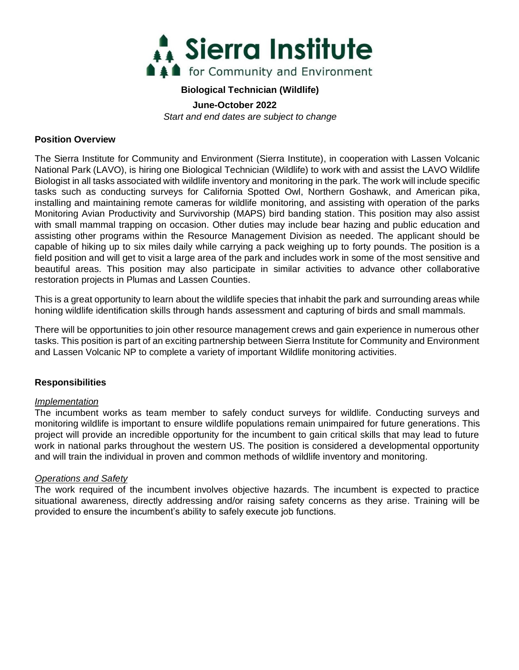

#### **Biological Technician (Wildlife)**

**June-October 2022**

*Start and end dates are subject to change*

#### **Position Overview**

The Sierra Institute for Community and Environment (Sierra Institute), in cooperation with Lassen Volcanic National Park (LAVO), is hiring one Biological Technician (Wildlife) to work with and assist the LAVO Wildlife Biologist in all tasks associated with wildlife inventory and monitoring in the park. The work will include specific tasks such as conducting surveys for California Spotted Owl, Northern Goshawk, and American pika, installing and maintaining remote cameras for wildlife monitoring, and assisting with operation of the parks Monitoring Avian Productivity and Survivorship (MAPS) bird banding station. This position may also assist with small mammal trapping on occasion. Other duties may include bear hazing and public education and assisting other programs within the Resource Management Division as needed. The applicant should be capable of hiking up to six miles daily while carrying a pack weighing up to forty pounds. The position is a field position and will get to visit a large area of the park and includes work in some of the most sensitive and beautiful areas. This position may also participate in similar activities to advance other collaborative restoration projects in Plumas and Lassen Counties.

This is a great opportunity to learn about the wildlife species that inhabit the park and surrounding areas while honing wildlife identification skills through hands assessment and capturing of birds and small mammals.

There will be opportunities to join other resource management crews and gain experience in numerous other tasks. This position is part of an exciting partnership between Sierra Institute for Community and Environment and Lassen Volcanic NP to complete a variety of important Wildlife monitoring activities.

### **Responsibilities**

#### *Implementation*

The incumbent works as team member to safely conduct surveys for wildlife. Conducting surveys and monitoring wildlife is important to ensure wildlife populations remain unimpaired for future generations. This project will provide an incredible opportunity for the incumbent to gain critical skills that may lead to future work in national parks throughout the western US. The position is considered a developmental opportunity and will train the individual in proven and common methods of wildlife inventory and monitoring.

#### *Operations and Safety*

The work required of the incumbent involves objective hazards. The incumbent is expected to practice situational awareness, directly addressing and/or raising safety concerns as they arise. Training will be provided to ensure the incumbent's ability to safely execute job functions.